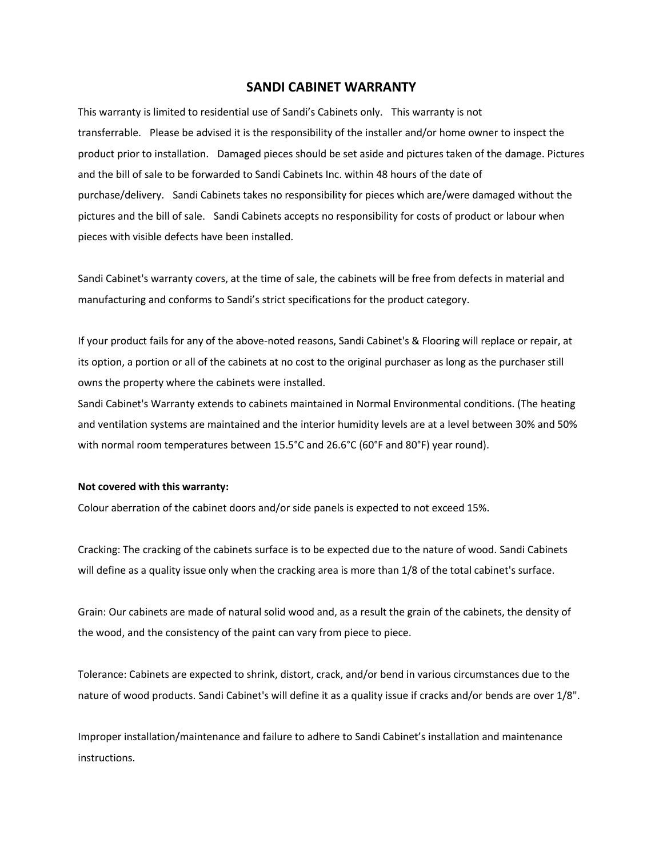## **SANDI CABINET WARRANTY**

This warranty is limited to residential use of Sandi's Cabinets only. This warranty is not transferrable. Please be advised it is the responsibility of the installer and/or home owner to inspect the product prior to installation. Damaged pieces should be set aside and pictures taken of the damage. Pictures and the bill of sale to be forwarded to Sandi Cabinets Inc. within 48 hours of the date of purchase/delivery. Sandi Cabinets takes no responsibility for pieces which are/were damaged without the pictures and the bill of sale. Sandi Cabinets accepts no responsibility for costs of product or labour when pieces with visible defects have been installed.

Sandi Cabinet's warranty covers, at the time of sale, the cabinets will be free from defects in material and manufacturing and conforms to Sandi's strict specifications for the product category.

If your product fails for any of the above-noted reasons, Sandi Cabinet's & Flooring will replace or repair, at its option, a portion or all of the cabinets at no cost to the original purchaser as long as the purchaser still owns the property where the cabinets were installed.

Sandi Cabinet's Warranty extends to cabinets maintained in Normal Environmental conditions. (The heating and ventilation systems are maintained and the interior humidity levels are at a level between 30% and 50% with normal room temperatures between 15.5°C and 26.6°C (60°F and 80°F) year round).

## **Not covered with this warranty:**

Colour aberration of the cabinet doors and/or side panels is expected to not exceed 15%.

Cracking: The cracking of the cabinets surface is to be expected due to the nature of wood. Sandi Cabinets will define as a quality issue only when the cracking area is more than 1/8 of the total cabinet's surface.

Grain: Our cabinets are made of natural solid wood and, as a result the grain of the cabinets, the density of the wood, and the consistency of the paint can vary from piece to piece.

Tolerance: Cabinets are expected to shrink, distort, crack, and/or bend in various circumstances due to the nature of wood products. Sandi Cabinet's will define it as a quality issue if cracks and/or bends are over 1/8".

Improper installation/maintenance and failure to adhere to Sandi Cabinet's installation and maintenance instructions.